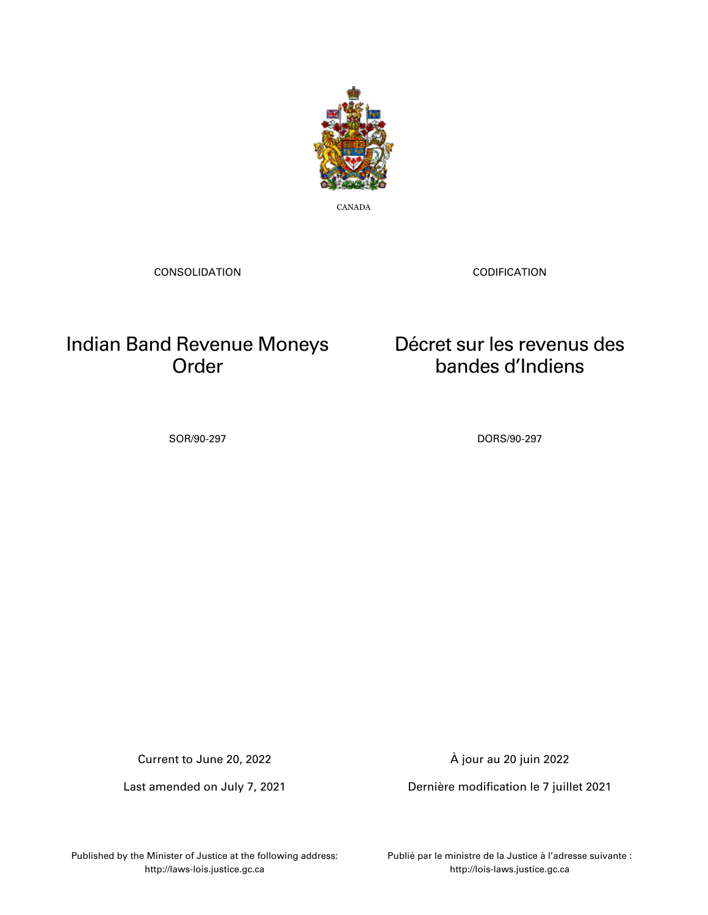

CANADA

CONSOLIDATION

CODIFICATION

Décret sur les revenus des bandes d'Indiens

## Indian Band Revenue Moneys Order

SOR/90-297 DORS/90-297

Current to June 20, 2022

Last amended on July 7, 2021

À jour au 20 juin 2022

Dernière modification le 7 juillet 2021

Published by the Minister of Justice at the following address: http://laws-lois.justice.gc.ca

Publié par le ministre de la Justice à l'adresse suivante : http://lois-laws.justice.gc.ca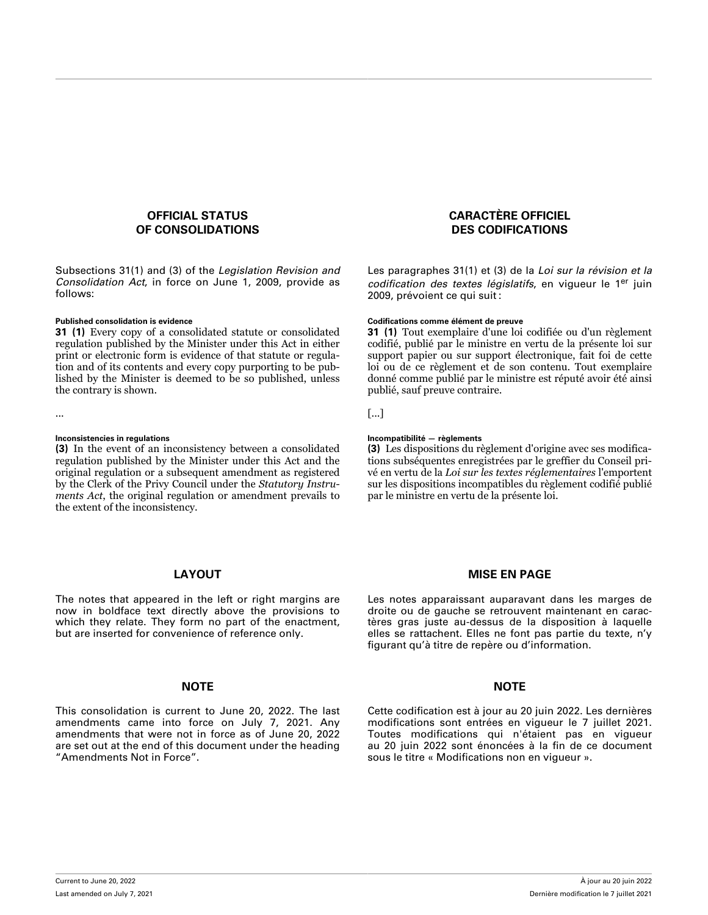## **OFFICIAL STATUS OF CONSOLIDATIONS**

Subsections 31(1) and (3) of the *Legislation Revision and Consolidation Act*, in force on June 1, 2009, provide as follows:

**31 (1)** Every copy of a consolidated statute or consolidated regulation published by the Minister under this Act in either print or electronic form is evidence of that statute or regulation and of its contents and every copy purporting to be published by the Minister is deemed to be so published, unless the contrary is shown.

**(3)** In the event of an inconsistency between a consolidated regulation published by the Minister under this Act and the original regulation or a subsequent amendment as registered by the Clerk of the Privy Council under the *Statutory Instruments Act*, the original regulation or amendment prevails to the extent of the inconsistency.

### **LAYOUT**

The notes that appeared in the left or right margins are now in boldface text directly above the provisions to which they relate. They form no part of the enactment, but are inserted for convenience of reference only.

## **NOTE NOTE**

This consolidation is current to June 20, 2022. The last amendments came into force on July 7, 2021. Any amendments that were not in force as of June 20, 2022 are set out at the end of this document under the heading "Amendments Not in Force".

## **CARACTÈRE OFFICIEL DES CODIFICATIONS**

Les paragraphes 31(1) et (3) de la *Loi sur la révision et la codification des textes législatifs*, en vigueur le 1er juin 2009, prévoient ce qui suit :

### **Published consolidation is evidence Codifications comme élément de preuve**

**31 (1)** Tout exemplaire d'une loi codifiée ou d'un règlement codifié, publié par le ministre en vertu de la présente loi sur support papier ou sur support électronique, fait foi de cette loi ou de ce règlement et de son contenu. Tout exemplaire donné comme publié par le ministre est réputé avoir été ainsi publié, sauf preuve contraire.

... [...]

### **Inconsistencies in regulations Incompatibilité — règlements**

**(3)** Les dispositions du règlement d'origine avec ses modifications subséquentes enregistrées par le greffier du Conseil privé en vertu de la *Loi sur les textes réglementaires* l'emportent sur les dispositions incompatibles du règlement codifié publié par le ministre en vertu de la présente loi.

### **MISE EN PAGE**

Les notes apparaissant auparavant dans les marges de droite ou de gauche se retrouvent maintenant en caractères gras juste au-dessus de la disposition à laquelle elles se rattachent. Elles ne font pas partie du texte, n'y figurant qu'à titre de repère ou d'information.

Cette codification est à jour au 20 juin 2022. Les dernières modifications sont entrées en vigueur le 7 juillet 2021. Toutes modifications qui n'étaient pas en vigueur au 20 juin 2022 sont énoncées à la fin de ce document sous le titre « Modifications non en vigueur ».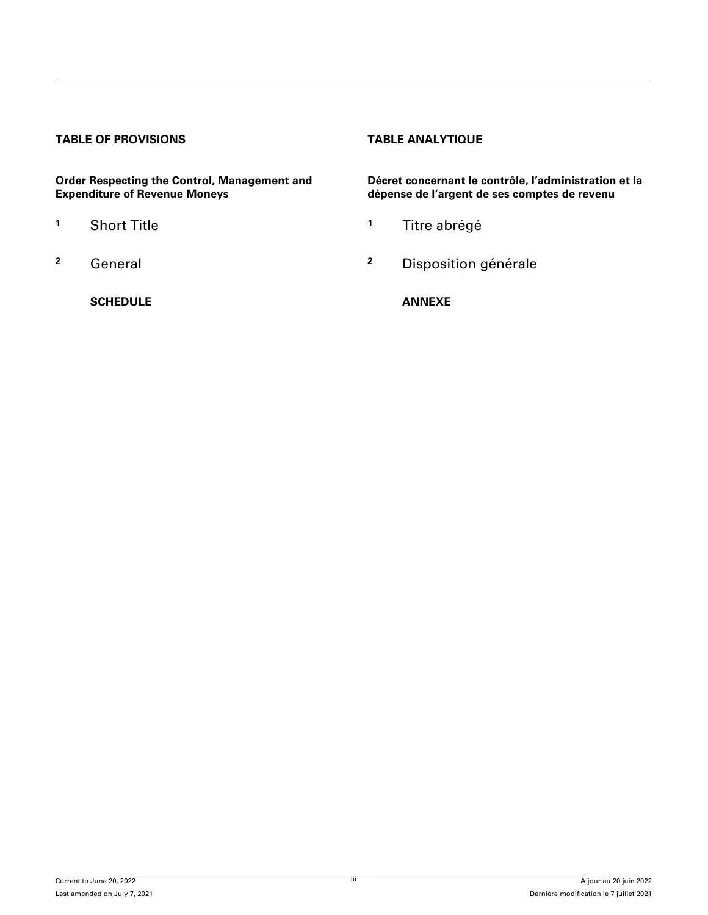## **TABLE OF PROVISIONS TABLE ANALYTIQUE**

**Order Respecting the Control, Management and Expenditure of Revenue Moneys**

- 
- 

**[SCHEDULE](#page-5-0) [ANNEXE](#page-5-0)**

**Décret concernant le contrôle, l'administration et la dépense de l'argent de ses comptes de revenu**

- **<sup>1</sup>** [Short Title](#page-4-0) **<sup>1</sup>** [Titre abrégé](#page-4-0)
- **<sup>2</sup>** [General](#page-4-0) **<sup>2</sup>** [Disposition générale](#page-4-0)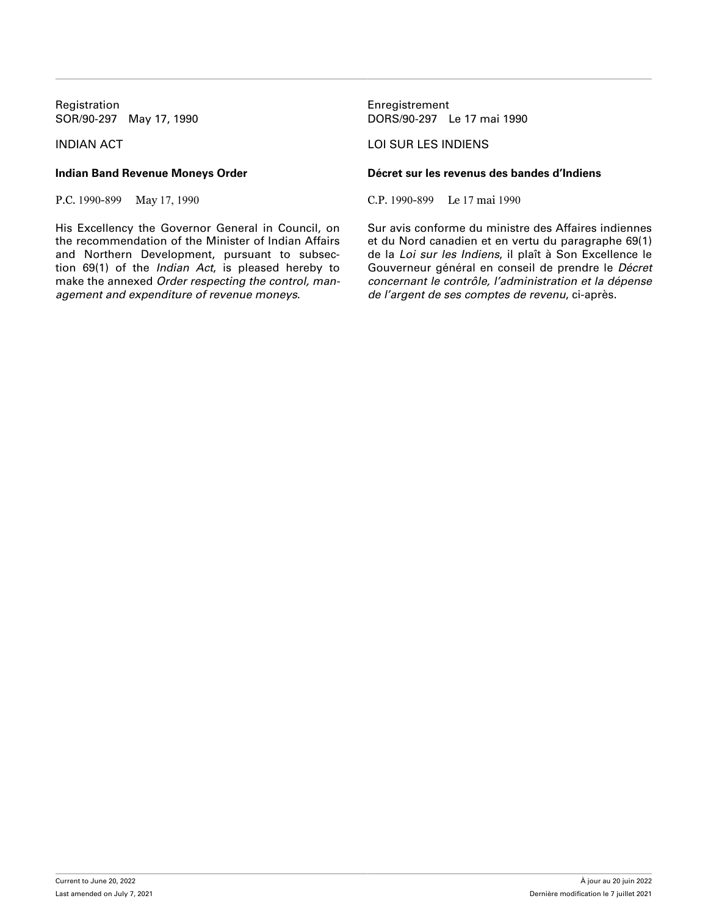Registration **Enregistrement** 

His Excellency the Governor General in Council, on the recommendation of the Minister of Indian Affairs and Northern Development, pursuant to subsection 69(1) of the *Indian Act*, is pleased hereby to make the annexed *Order respecting the control, management and expenditure of revenue moneys*.

SOR/90-297 May 17, 1990 DORS/90-297 Le 17 mai 1990

## INDIAN ACT LOI SUR LES INDIENS

## **Indian Band Revenue Moneys Order Décret sur les revenus des bandes d'Indiens**

P.C. 1990-899 May 17, 1990 C.P. 1990-899 Le 17 mai 1990

Sur avis conforme du ministre des Affaires indiennes et du Nord canadien et en vertu du paragraphe 69(1) de la *Loi sur les Indiens*, il plaît à Son Excellence le Gouverneur général en conseil de prendre le *Décret concernant le contrôle, l'administration et la dépense de l'argent de ses comptes de revenu*, ci-après.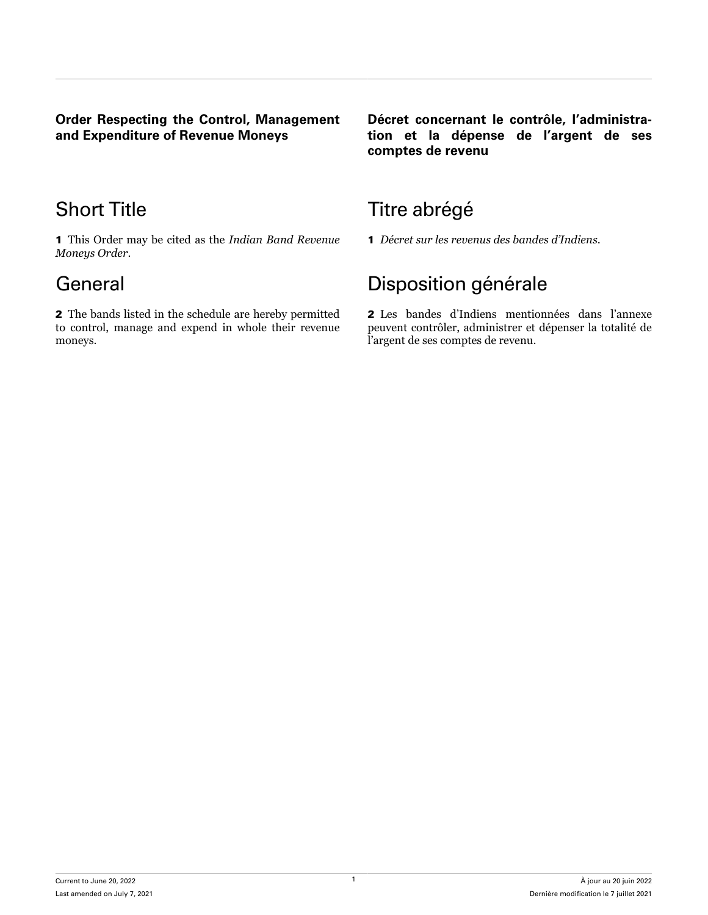<span id="page-4-0"></span>**Order Respecting the Control, Management and Expenditure of Revenue Moneys**

1 This Order may be cited as the *Indian Band Revenue Moneys Order*.

2 The bands listed in the schedule are hereby permitted to control, manage and expend in whole their revenue moneys.

**Décret concernant le contrôle, l'administration et la dépense de l'argent de ses comptes de revenu**

# Short Title **Title Short Title** Titre abrégé

1 *Décret sur les revenus des bandes d'Indiens*.

# General **General** Disposition générale

2 Les bandes d'Indiens mentionnées dans l'annexe peuvent contrôler, administrer et dépenser la totalité de l'argent de ses comptes de revenu.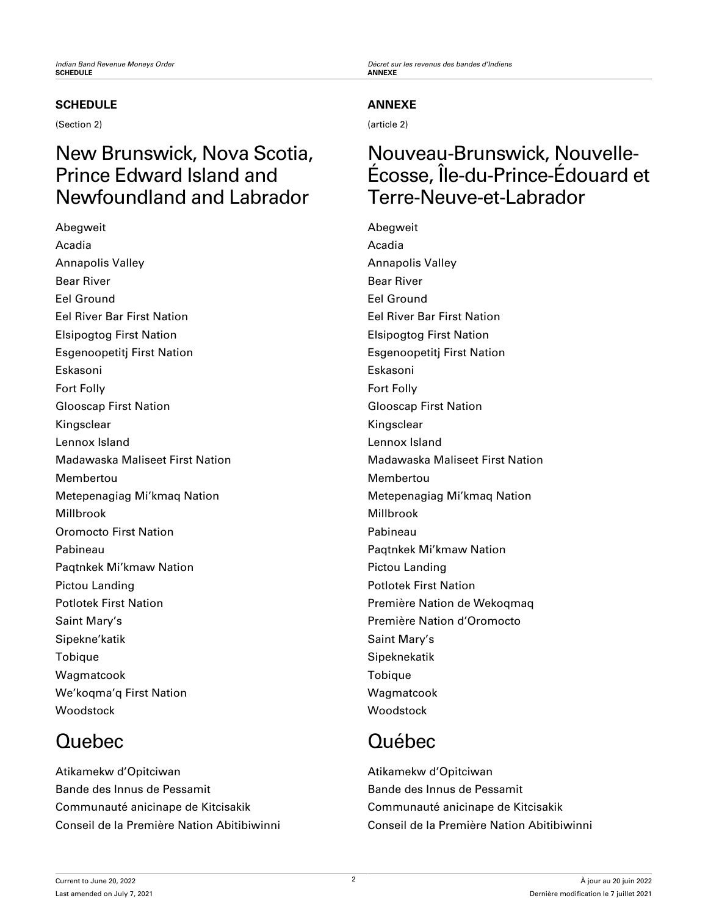## **SCHEDULE**

(Section 2)

# New Brunswick, Nova Scotia, Prince Edward Island and Newfoundland and Labrador

Abegweit Acadia Annapolis Valley Bear River Eel Ground Eel River Bar First Nation Elsipogtog First Nation Esgenoopetitj First Nation Eskasoni Fort Folly Glooscap First Nation Kingsclear Lennox Island Madawaska Maliseet First Nation Membertou Metepenagiag Mi'kmaq Nation Millbrook Oromocto First Nation Pabineau Paqtnkek Mi'kmaw Nation Pictou Landing Potlotek First Nation Saint Mary's Sipekne'katik Tobique Wagmatcook We'koqma'q First Nation Woodstock

# Quebec

Atikamekw d'Opitciwan Bande des Innus de Pessamit Communauté anicinape de Kitcisakik Conseil de la Première Nation Abitibiwinni

<span id="page-5-0"></span>*Indian Band Revenue Moneys Order Décret sur les revenus des bandes d'Indiens*

## **ANNEXE**

(article 2)

## Nouveau-Brunswick, Nouvelle-Écosse, Île-du-Prince-Édouard et Terre-Neuve-et-Labrador

Abegweit Acadia Annapolis Valley Bear River Eel Ground Eel River Bar First Nation Elsipogtog First Nation Esgenoopetitj First Nation Eskasoni Fort Folly Glooscap First Nation Kingsclear Lennox Island Madawaska Maliseet First Nation Membertou Metepenagiag Mi'kmaq Nation Millbrook Pabineau Paqtnkek Mi'kmaw Nation Pictou Landing Potlotek First Nation Première Nation de Wekoqmaq Première Nation d'Oromocto Saint Mary's Sipeknekatik Tobique Wagmatcook **Woodstock** 

# Québec

Atikamekw d'Opitciwan Bande des Innus de Pessamit Communauté anicinape de Kitcisakik Conseil de la Première Nation Abitibiwinni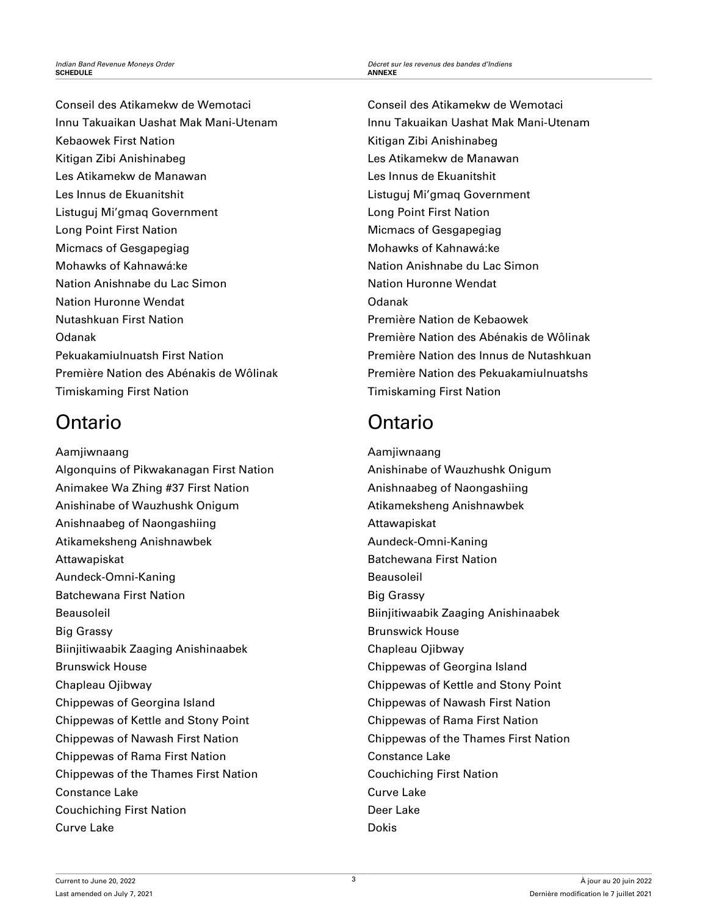Conseil des Atikamekw de Wemotaci Innu Takuaikan Uashat Mak Mani-Utenam Kebaowek First Nation Kitigan Zibi Anishinabeg Les Atikamekw de Manawan Les Innus de Ekuanitshit Listuguj Mi'gmaq Government Long Point First Nation Micmacs of Gesgapegiag Mohawks of Kahnawá:ke Nation Anishnabe du Lac Simon Nation Huronne Wendat Nutashkuan First Nation Odanak Pekuakamiulnuatsh First Nation Première Nation des Abénakis de Wôlinak Timiskaming First Nation

# Ontario

Aamjiwnaang Algonquins of Pikwakanagan First Nation Animakee Wa Zhing #37 First Nation Anishinabe of Wauzhushk Onigum Anishnaabeg of Naongashiing Atikameksheng Anishnawbek Attawapiskat Aundeck-Omni-Kaning Batchewana First Nation Beausoleil Big Grassy Biinjitiwaabik Zaaging Anishinaabek Brunswick House Chapleau Ojibway Chippewas of Georgina Island Chippewas of Kettle and Stony Point Chippewas of Nawash First Nation Chippewas of Rama First Nation Chippewas of the Thames First Nation Constance Lake Couchiching First Nation Curve Lake

Conseil des Atikamekw de Wemotaci Innu Takuaikan Uashat Mak Mani-Utenam Kitigan Zibi Anishinabeg Les Atikamekw de Manawan Les Innus de Ekuanitshit Listuguj Mi'gmaq Government Long Point First Nation Micmacs of Gesgapegiag Mohawks of Kahnawá:ke Nation Anishnabe du Lac Simon Nation Huronne Wendat Odanak Première Nation de Kebaowek Première Nation des Abénakis de Wôlinak Première Nation des Innus de Nutashkuan Première Nation des Pekuakamiulnuatshs Timiskaming First Nation

# Ontario

Aamjiwnaang Anishinabe of Wauzhushk Onigum Anishnaabeg of Naongashiing Atikameksheng Anishnawbek Attawapiskat Aundeck-Omni-Kaning Batchewana First Nation Beausoleil Big Grassy Biinjitiwaabik Zaaging Anishinaabek Brunswick House Chapleau Ojibway Chippewas of Georgina Island Chippewas of Kettle and Stony Point Chippewas of Nawash First Nation Chippewas of Rama First Nation Chippewas of the Thames First Nation Constance Lake Couchiching First Nation Curve Lake Deer Lake **Dokis**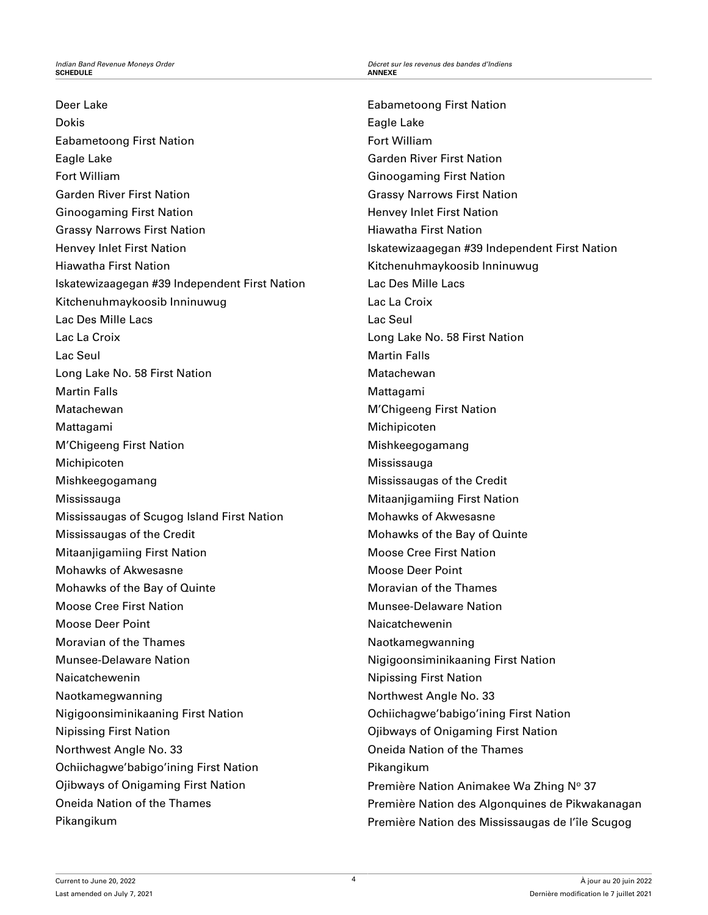Deer Lake Dokis Eabametoong First Nation Eagle Lake Fort William Garden River First Nation Ginoogaming First Nation Grassy Narrows First Nation Henvey Inlet First Nation Hiawatha First Nation Iskatewizaagegan #39 Independent First Nation Kitchenuhmaykoosib Inninuwug Lac Des Mille Lacs Lac La Croix Lac Seul Long Lake No. 58 First Nation Martin Falls Matachewan Mattagami M'Chigeeng First Nation Michipicoten Mishkeegogamang Mississauga Mississaugas of Scugog Island First Nation Mississaugas of the Credit Mitaanjigamiing First Nation Mohawks of Akwesasne Mohawks of the Bay of Quinte Moose Cree First Nation Moose Deer Point Moravian of the Thames Munsee-Delaware Nation Naicatchewenin Naotkamegwanning Nigigoonsiminikaaning First Nation Nipissing First Nation Northwest Angle No. 33 Ochiichagwe'babigo'ining First Nation Ojibways of Onigaming First Nation Oneida Nation of the Thames Pikangikum

Eabametoong First Nation Eagle Lake Fort William Garden River First Nation Ginoogaming First Nation Grassy Narrows First Nation Henvey Inlet First Nation Hiawatha First Nation Iskatewizaagegan #39 Independent First Nation Kitchenuhmaykoosib Inninuwug Lac Des Mille Lacs Lac La Croix Lac Seul Long Lake No. 58 First Nation Martin Falls Matachewan Mattagami M'Chigeeng First Nation Michipicoten Mishkeegogamang Mississauga Mississaugas of the Credit Mitaanjigamiing First Nation Mohawks of Akwesasne Mohawks of the Bay of Quinte Moose Cree First Nation Moose Deer Point Moravian of the Thames Munsee-Delaware Nation Naicatchewenin Naotkamegwanning Nigigoonsiminikaaning First Nation Nipissing First Nation Northwest Angle No. 33 Ochiichagwe'babigo'ining First Nation Ojibways of Onigaming First Nation Oneida Nation of the Thames Pikangikum Première Nation Animakee Wa Zhing Nº 37 Première Nation des Algonquines de Pikwakanagan Première Nation des Mississaugas de l'île Scugog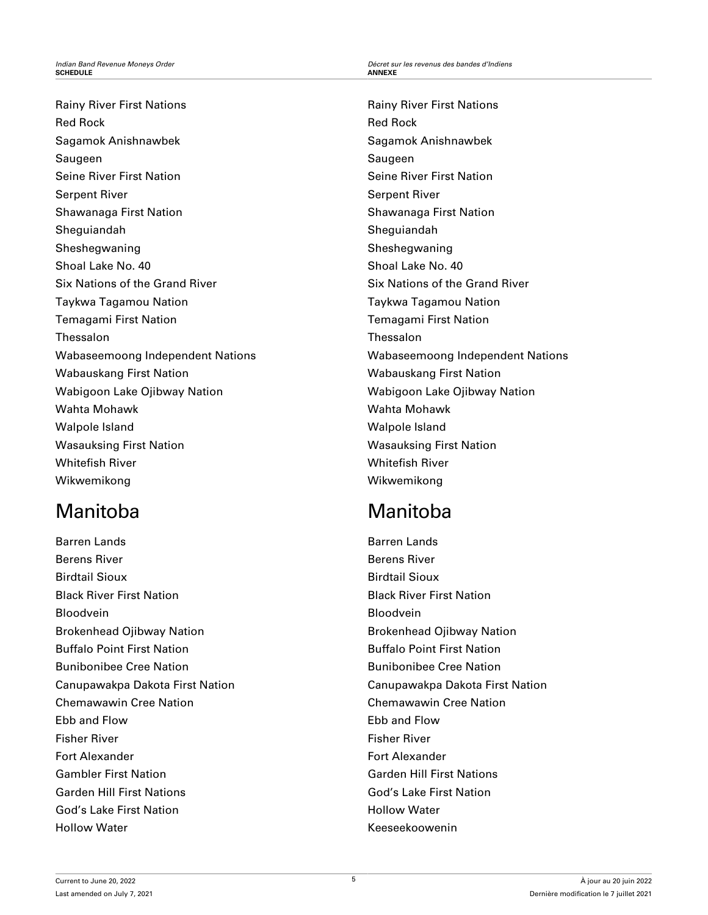Rainy River First Nations Red Rock Sagamok Anishnawbek Saugeen Seine River First Nation Serpent River Shawanaga First Nation Sheguiandah Sheshegwaning Shoal Lake No. 40 Six Nations of the Grand River Taykwa Tagamou Nation Temagami First Nation Thessalon Wabaseemoong Independent Nations Wabauskang First Nation Wabigoon Lake Ojibway Nation Wahta Mohawk Walpole Island Wasauksing First Nation Whitefish River Wikwemikong

# Manitoba

Barren Lands Berens River Birdtail Sioux Black River First Nation Bloodvein Brokenhead Ojibway Nation Buffalo Point First Nation Bunibonibee Cree Nation Canupawakpa Dakota First Nation Chemawawin Cree Nation Ebb and Flow Fisher River Fort Alexander Gambler First Nation Garden Hill First Nations God's Lake First Nation Hollow Water

Rainy River First Nations Red Rock Sagamok Anishnawbek Saugeen Seine River First Nation Serpent River Shawanaga First Nation Sheguiandah Sheshegwaning Shoal Lake No. 40 Six Nations of the Grand River Taykwa Tagamou Nation Temagami First Nation Thessalon Wabaseemoong Independent Nations Wabauskang First Nation Wabigoon Lake Ojibway Nation Wahta Mohawk Walpole Island Wasauksing First Nation Whitefish River Wikwemikong

# **Manitoba**

Barren Lands Berens River Birdtail Sioux Black River First Nation Bloodvein Brokenhead Ojibway Nation Buffalo Point First Nation Bunibonibee Cree Nation Canupawakpa Dakota First Nation Chemawawin Cree Nation Ebb and Flow Fisher River Fort Alexander Garden Hill First Nations God's Lake First Nation Hollow Water Keeseekoowenin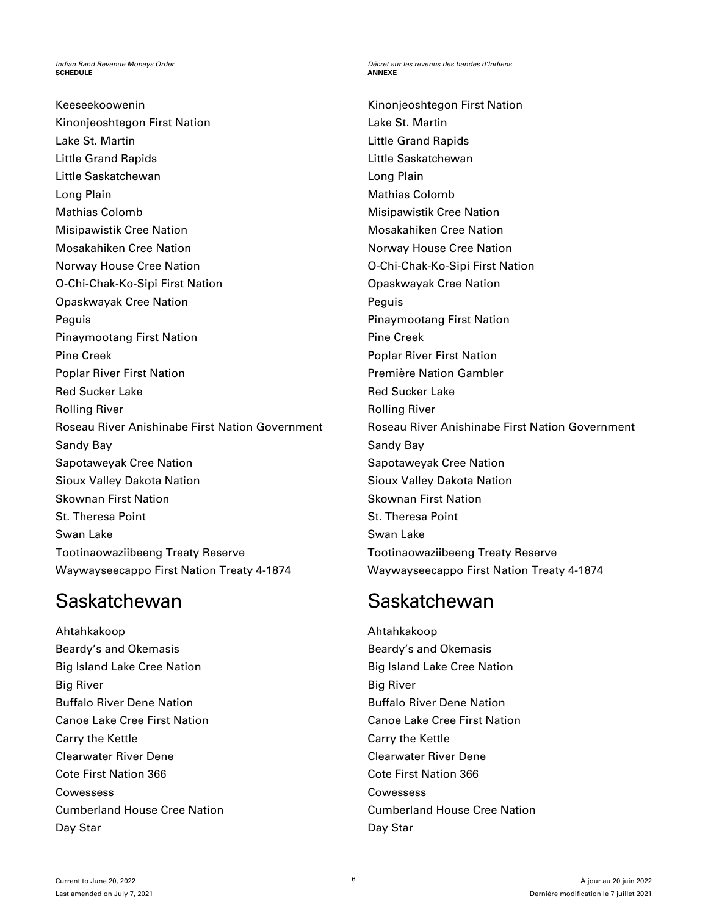Keeseekoowenin Kinonjeoshtegon First Nation Lake St. Martin Little Grand Rapids Little Saskatchewan Long Plain Mathias Colomb Misipawistik Cree Nation Mosakahiken Cree Nation Norway House Cree Nation O-Chi-Chak-Ko-Sipi First Nation Opaskwayak Cree Nation Peguis Pinaymootang First Nation Pine Creek Poplar River First Nation Red Sucker Lake Rolling River Roseau River Anishinabe First Nation Government Sandy Bay Sapotaweyak Cree Nation Sioux Valley Dakota Nation Skownan First Nation St. Theresa Point Swan Lake Tootinaowaziibeeng Treaty Reserve Waywayseecappo First Nation Treaty 4-1874

# Saskatchewan

Ahtahkakoop Beardy's and Okemasis Big Island Lake Cree Nation Big River Buffalo River Dene Nation Canoe Lake Cree First Nation Carry the Kettle Clearwater River Dene Cote First Nation 366 Cowessess Cumberland House Cree Nation Day Star

*Indian Band Revenue Moneys Order Décret sur les revenus des bandes d'Indiens*

Kinonjeoshtegon First Nation Lake St. Martin Little Grand Rapids Little Saskatchewan Long Plain Mathias Colomb Misipawistik Cree Nation Mosakahiken Cree Nation Norway House Cree Nation O-Chi-Chak-Ko-Sipi First Nation Opaskwayak Cree Nation Peguis Pinaymootang First Nation Pine Creek Poplar River First Nation Première Nation Gambler Red Sucker Lake Rolling River Roseau River Anishinabe First Nation Government Sandy Bay Sapotaweyak Cree Nation Sioux Valley Dakota Nation Skownan First Nation St. Theresa Point Swan Lake Tootinaowaziibeeng Treaty Reserve Waywayseecappo First Nation Treaty 4-1874

# Saskatchewan

Ahtahkakoop Beardy's and Okemasis Big Island Lake Cree Nation Big River Buffalo River Dene Nation Canoe Lake Cree First Nation Carry the Kettle Clearwater River Dene Cote First Nation 366 Cowessess Cumberland House Cree Nation Day Star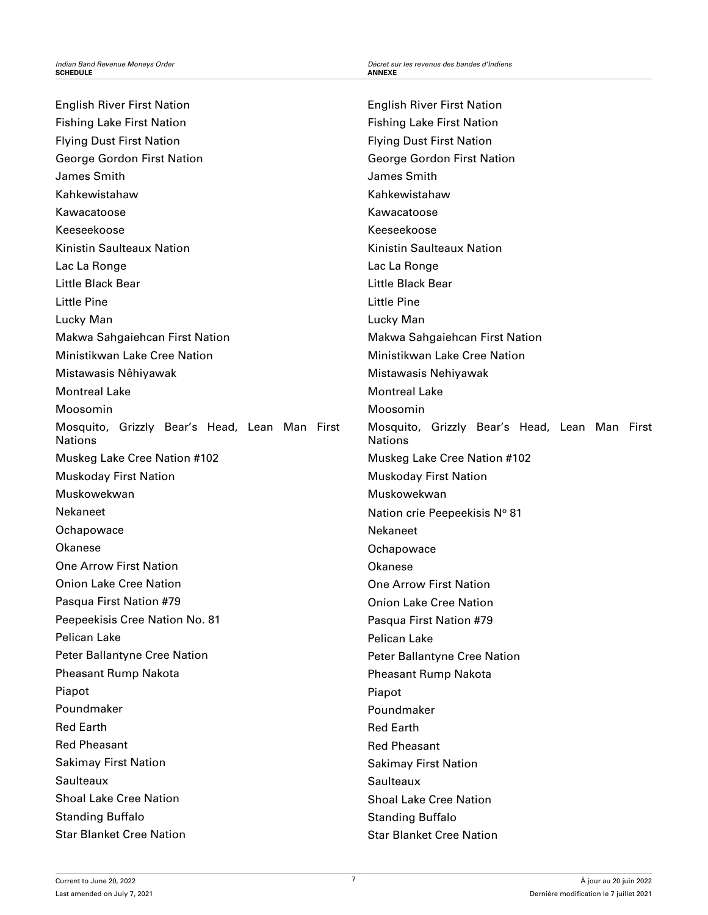English River First Nation Fishing Lake First Nation Flying Dust First Nation George Gordon First Nation James Smith Kahkewistahaw Kawacatoose Keeseekoose Kinistin Saulteaux Nation Lac La Ronge Little Black Bear Little Pine Lucky Man Makwa Sahgaiehcan First Nation Ministikwan Lake Cree Nation Mistawasis Nêhiyawak Montreal Lake Moosomin Mosquito, Grizzly Bear's Head, Lean Man First Nations Muskeg Lake Cree Nation #102 Muskoday First Nation Muskowekwan Nekaneet **Ochapowace** Okanese One Arrow First Nation Onion Lake Cree Nation Pasqua First Nation #79 Peepeekisis Cree Nation No. 81 Pelican Lake Peter Ballantyne Cree Nation Pheasant Rump Nakota Piapot Poundmaker Red Earth Red Pheasant Sakimay First Nation **Saulteaux** Shoal Lake Cree Nation Standing Buffalo Star Blanket Cree Nation

English River First Nation Fishing Lake First Nation Flying Dust First Nation George Gordon First Nation James Smith Kahkewistahaw Kawacatoose Keeseekoose Kinistin Saulteaux Nation Lac La Ronge Little Black Bear Little Pine Lucky Man Makwa Sahgaiehcan First Nation Ministikwan Lake Cree Nation Mistawasis Nehiyawak Montreal Lake Moosomin Mosquito, Grizzly Bear's Head, Lean Man First **Nations** Muskeg Lake Cree Nation #102 Muskoday First Nation Muskowekwan Nation crie Peepeekisis Nº 81 Nekaneet **Ochapowace** Okanese One Arrow First Nation Onion Lake Cree Nation Pasqua First Nation #79 Pelican Lake Peter Ballantyne Cree Nation Pheasant Rump Nakota Piapot Poundmaker Red Earth Red Pheasant Sakimay First Nation **Saulteaux** Shoal Lake Cree Nation Standing Buffalo Star Blanket Cree Nation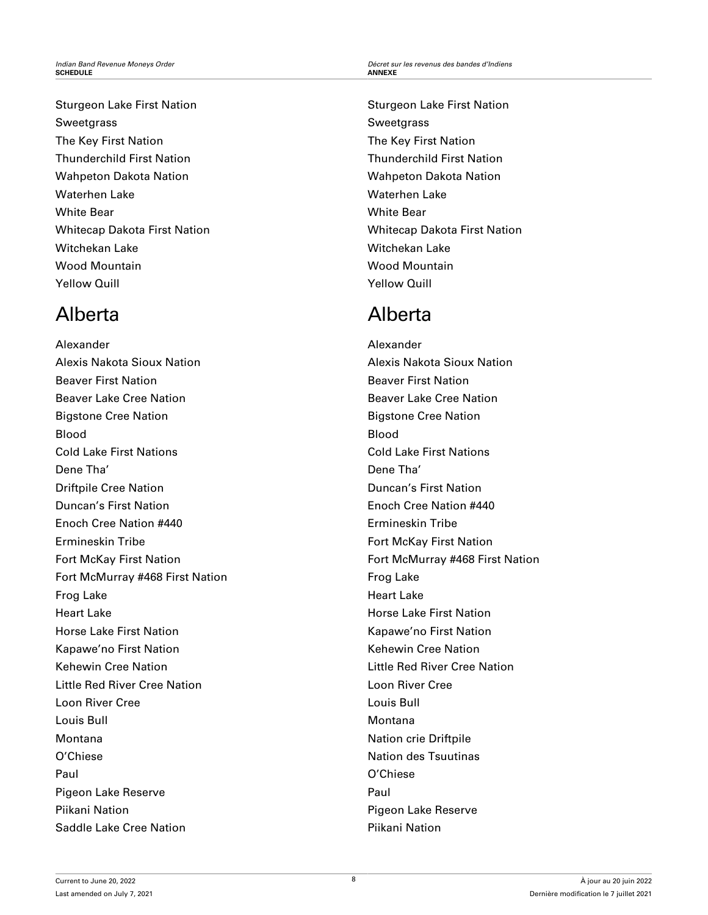Sturgeon Lake First Nation **Sweetgrass** The Key First Nation Thunderchild First Nation Wahpeton Dakota Nation Waterhen Lake White Bear Whitecap Dakota First Nation Witchekan Lake Wood Mountain Yellow Quill

# Alberta

Alexander Alexis Nakota Sioux Nation Beaver First Nation Beaver Lake Cree Nation Bigstone Cree Nation Blood Cold Lake First Nations Dene Tha' Driftpile Cree Nation Duncan's First Nation Enoch Cree Nation #440 Ermineskin Tribe Fort McKay First Nation Fort McMurray #468 First Nation Frog Lake Heart Lake Horse Lake First Nation Kapawe'no First Nation Kehewin Cree Nation Little Red River Cree Nation Loon River Cree Louis Bull Montana O'Chiese Paul Pigeon Lake Reserve Piikani Nation Saddle Lake Cree Nation

Sturgeon Lake First Nation **Sweetgrass** The Key First Nation Thunderchild First Nation Wahpeton Dakota Nation Waterhen Lake White Bear Whitecap Dakota First Nation Witchekan Lake Wood Mountain Yellow Quill

# Alberta

Alexander Alexis Nakota Sioux Nation Beaver First Nation Beaver Lake Cree Nation Bigstone Cree Nation Blood Cold Lake First Nations Dene Tha' Duncan's First Nation Enoch Cree Nation #440 Ermineskin Tribe Fort McKay First Nation Fort McMurray #468 First Nation Frog Lake Heart Lake Horse Lake First Nation Kapawe'no First Nation Kehewin Cree Nation Little Red River Cree Nation Loon River Cree Louis Bull Montana Nation crie Driftpile Nation des Tsuutinas O'Chiese Paul Pigeon Lake Reserve Piikani Nation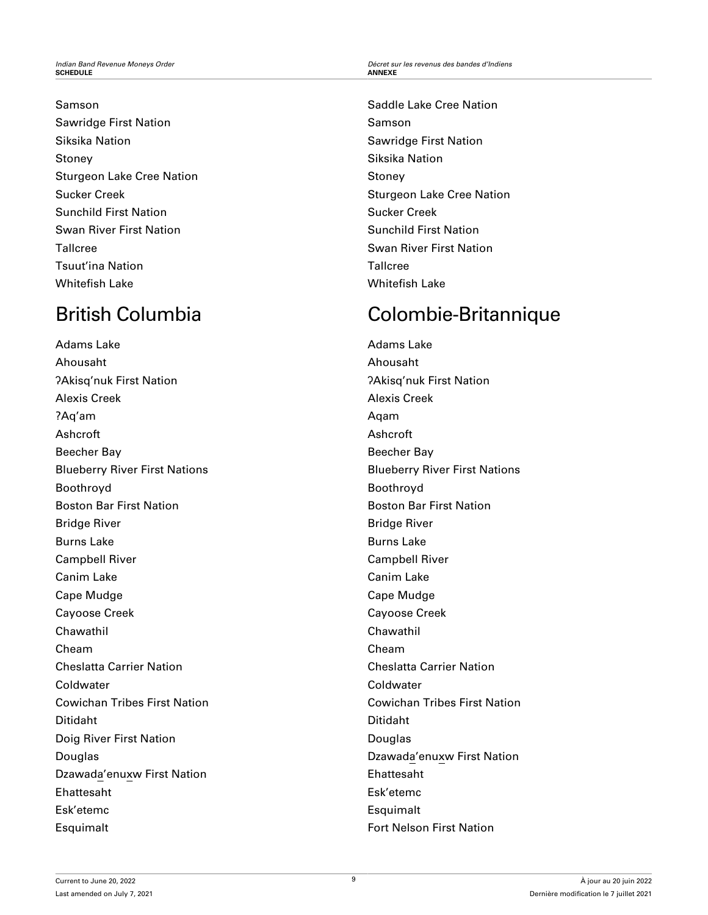## Samson

Sawridge First Nation Siksika Nation Stoney Sturgeon Lake Cree Nation Sucker Creek Sunchild First Nation Swan River First Nation Tallcree Tsuut'ina Nation Whitefish Lake

# British Columbia

Adams Lake Ahousaht ʔAkisq'nuk First Nation Alexis Creek ?Aq'am Ashcroft Beecher Bay Blueberry River First Nations Boothroyd Boston Bar First Nation Bridge River Burns Lake Campbell River Canim Lake Cape Mudge Cayoose Creek Chawathil Cheam Cheslatta Carrier Nation Coldwater Cowichan Tribes First Nation Ditidaht Doig River First Nation Douglas Dzawada'enuxw First Nation Ehattesaht Esk'etemc Esquimalt

Saddle Lake Cree Nation Samson Sawridge First Nation Siksika Nation Stoney Sturgeon Lake Cree Nation Sucker Creek Sunchild First Nation Swan River First Nation **Tallcree** Whitefish Lake

# Colombie-Britannique

Adams Lake Ahousaht ʔAkisq'nuk First Nation Alexis Creek Aqam Ashcroft Beecher Bay Blueberry River First Nations Boothroyd Boston Bar First Nation Bridge River Burns Lake Campbell River Canim Lake Cape Mudge Cayoose Creek Chawathil Cheam Cheslatta Carrier Nation Coldwater Cowichan Tribes First Nation Ditidaht Douglas Dzawada'enuxw First Nation Ehattesaht Esk'etemc Esquimalt Fort Nelson First Nation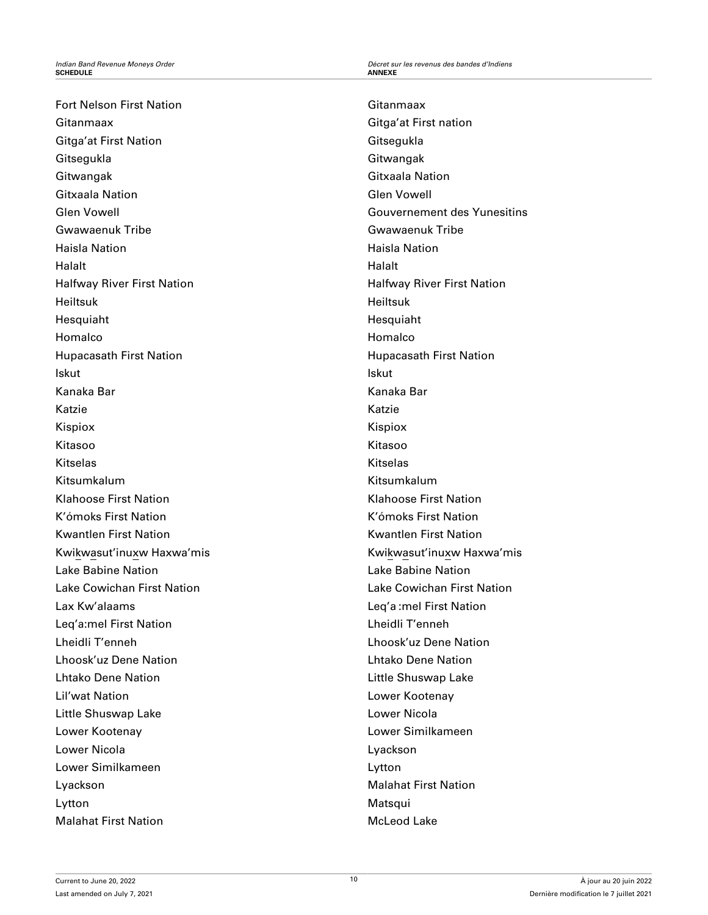Fort Nelson First Nation Gitanmaax Gitga'at First Nation **Gitsegukla** Gitwangak Gitxaala Nation Glen Vowell Gwawaenuk Tribe Haisla Nation Halalt Halfway River First Nation Heiltsuk Hesquiaht Homalco Hupacasath First Nation Iskut Kanaka Bar Katzie Kispiox Kitasoo Kitselas Kitsumkalum Klahoose First Nation K'ómoks First Nation Kwantlen First Nation Kwikwasut'inuxw Haxwa'mis Lake Babine Nation Lake Cowichan First Nation Lax Kw'alaams Leq'a:mel First Nation Lheidli T'enneh Lhoosk'uz Dene Nation Lhtako Dene Nation Lil'wat Nation Little Shuswap Lake Lower Kootenay Lower Nicola Lower Similkameen Lyackson Lytton Malahat First Nation

Gitanmaax Gitga'at First nation **Gitsegukla** Gitwangak Gitxaala Nation Glen Vowell Gouvernement des Yunesitins Gwawaenuk Tribe Haisla Nation Halalt Halfway River First Nation Heiltsuk Hesquiaht Homalco Hupacasath First Nation Iskut Kanaka Bar Katzie Kispiox Kitasoo Kitselas Kitsumkalum Klahoose First Nation K'ómoks First Nation Kwantlen First Nation Kwikwasut'inuxw Haxwa'mis Lake Babine Nation Lake Cowichan First Nation Leq'a :mel First Nation Lheidli T'enneh Lhoosk'uz Dene Nation Lhtako Dene Nation Little Shuswap Lake Lower Kootenay Lower Nicola Lower Similkameen Lyackson Lytton Malahat First Nation Matsqui McLeod Lake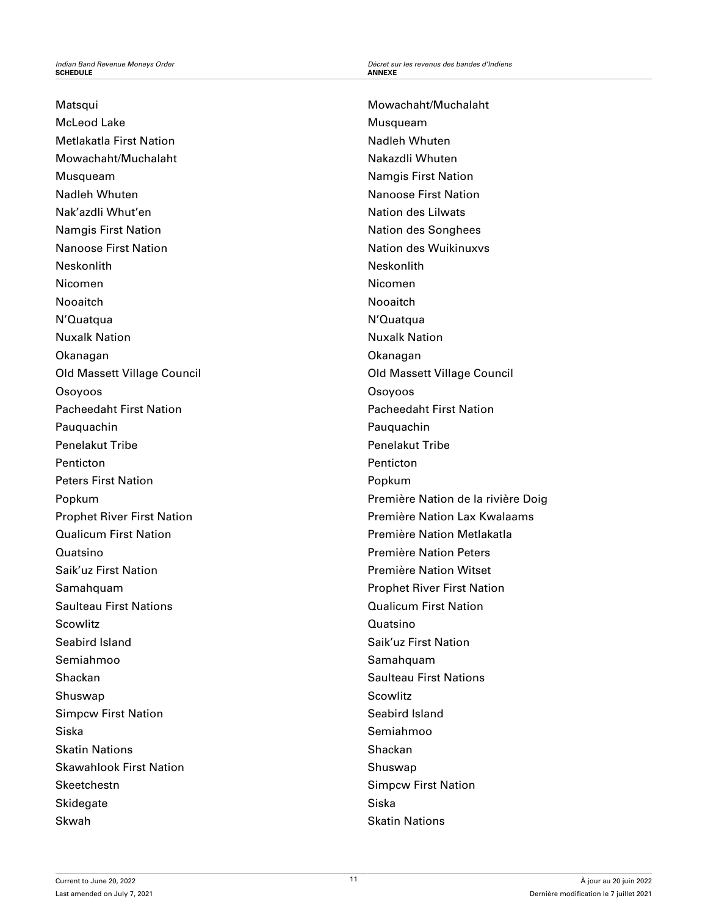## Matsqui

McLeod Lake Metlakatla First Nation Mowachaht/Muchalaht Musqueam Nadleh Whuten Nak'azdli Whut'en Namgis First Nation Nanoose First Nation Neskonlith Nicomen Nooaitch N'Quatqua Nuxalk Nation Okanagan Old Massett Village Council Osoyoos Pacheedaht First Nation Pauquachin Penelakut Tribe Penticton Peters First Nation Popkum Prophet River First Nation Qualicum First Nation Quatsino Saik'uz First Nation Samahquam Saulteau First Nations **Scowlitz** Seabird Island Semiahmoo Shackan Shuswap Simpcw First Nation Siska Skatin Nations Skawahlook First Nation **Skeetchestn Skidegate** Skwah

Mowachaht/Muchalaht Musqueam Nadleh Whuten Nakazdli Whuten Namgis First Nation Nanoose First Nation Nation des Lilwats Nation des Songhees Nation des Wuikinuxvs Neskonlith Nicomen Nooaitch N'Quatqua Nuxalk Nation Okanagan Old Massett Village Council Osoyoos Pacheedaht First Nation Pauquachin Penelakut Tribe **Penticton** Popkum Première Nation de la rivière Doig Première Nation Lax Kwalaams Première Nation Metlakatla Première Nation Peters Première Nation Witset Prophet River First Nation Qualicum First Nation Quatsino Saik'uz First Nation Samahquam Saulteau First Nations **Scowlitz** Seabird Island Semiahmoo Shackan Shuswap Simpcw First Nation Siska Skatin Nations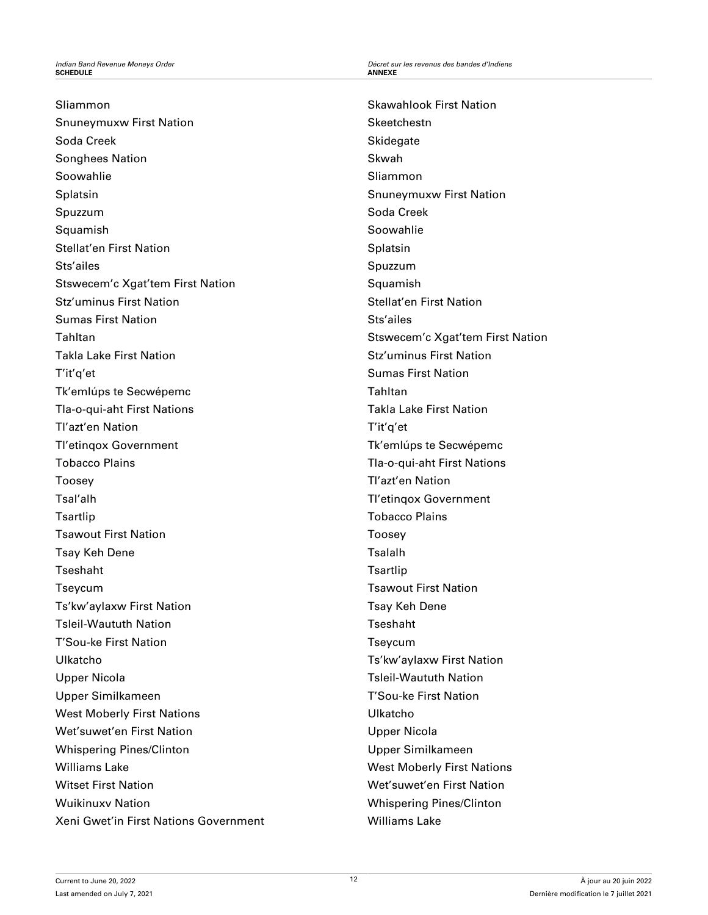Sliammon Snuneymuxw First Nation Soda Creek Songhees Nation Soowahlie Splatsin Spuzzum Squamish Stellat'en First Nation Sts'ailes Stswecem'c Xgat'tem First Nation Stz'uminus First Nation Sumas First Nation Tahltan Takla Lake First Nation T'it'q'et Tk'emlúps te Secwépemc Tla-o-qui-aht First Nations Tl'azt'en Nation Tl'etinqox Government Tobacco Plains Toosey Tsal'alh **Tsartlip** Tsawout First Nation Tsay Keh Dene Tseshaht Tseycum Ts'kw'aylaxw First Nation Tsleil-Waututh Nation T'Sou-ke First Nation Ulkatcho Upper Nicola Upper Similkameen West Moberly First Nations Wet'suwet'en First Nation Whispering Pines/Clinton Williams Lake Witset First Nation Wuikinuxv Nation Xeni Gwet'in First Nations Government

Skawahlook First Nation **Skeetchestn Skidegate** Skwah Sliammon Snuneymuxw First Nation Soda Creek Soowahlie Splatsin Spuzzum **Squamish** Stellat'en First Nation Sts'ailes Stswecem'c Xgat'tem First Nation Stz'uminus First Nation Sumas First Nation Tahltan Takla Lake First Nation T'it'q'et Tk'emlúps te Secwépemc Tla-o-qui-aht First Nations Tl'azt'en Nation Tl'etinqox Government Tobacco Plains Toosey Tsalalh **Tsartlip** Tsawout First Nation Tsay Keh Dene Tseshaht Tseycum Ts'kw'aylaxw First Nation Tsleil-Waututh Nation T'Sou-ke First Nation Ulkatcho Upper Nicola Upper Similkameen West Moberly First Nations Wet'suwet'en First Nation Whispering Pines/Clinton Williams Lake